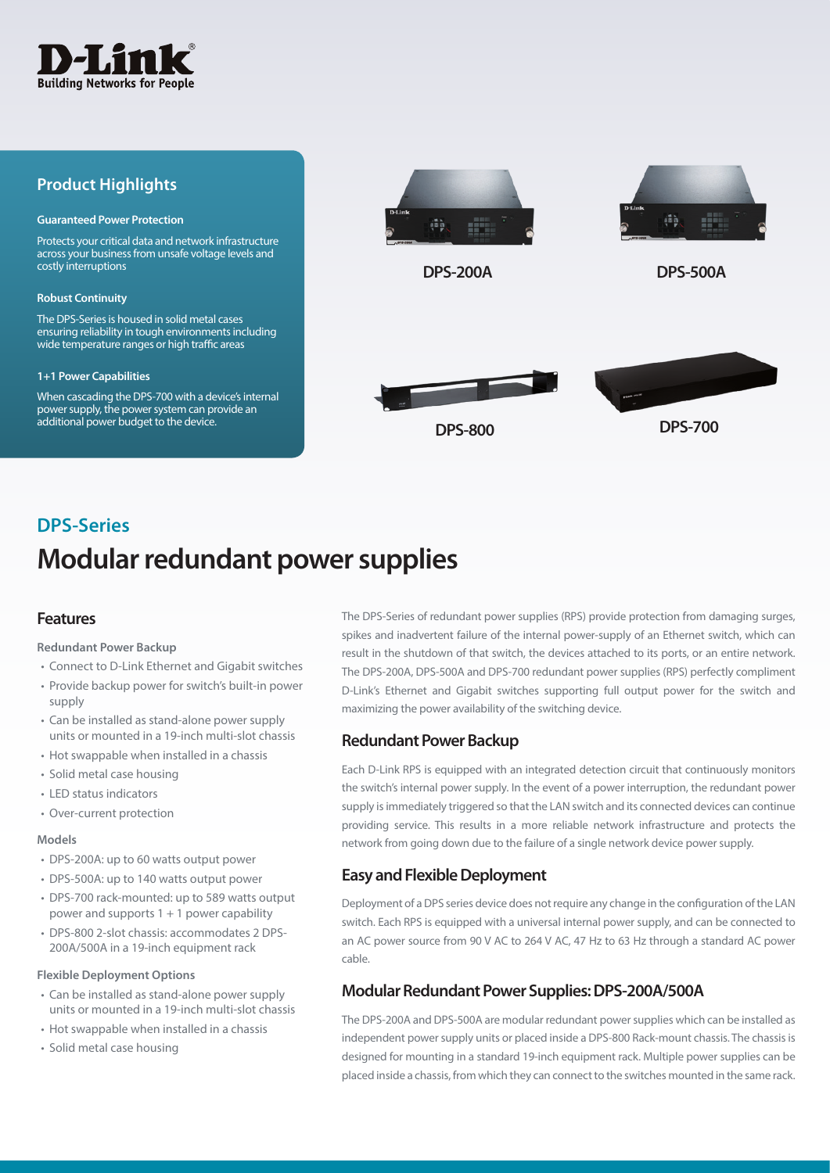

### **Product Highlights**

#### **Guaranteed Power Protection**

Protects your critical data and network infrastructure across your business from unsafe voltage levels and costly interruptions

#### **Robust Continuity**

The DPS-Series is housed in solid metal cases ensuring reliability in tough environments including wide temperature ranges or high traffic areas

#### **1+1 Power Capabilities**

When cascading the DPS-700 with a device's internal power supply, the power system can provide an additional power budget to the device.



# **Modular redundant power supplies DPS-Series**

### **Features**

### **Redundant Power Backup**

- Connect to D-Link Ethernet and Gigabit switches
- Provide backup power for switch's built-in power supply
- Can be installed as stand-alone power supply units or mounted in a 19-inch multi-slot chassis
- Hot swappable when installed in a chassis
- Solid metal case housing
- LED status indicators
- Over-current protection

### **Models**

- DPS-200A: up to 60 watts output power
- DPS-500A: up to 140 watts output power
- DPS-700 rack-mounted: up to 589 watts output power and supports 1 + 1 power capability
- DPS-800 2-slot chassis: accommodates 2 DPS-200A/500A in a 19-inch equipment rack

### **Flexible Deployment Options**

- Can be installed as stand-alone power supply units or mounted in a 19-inch multi-slot chassis
- Hot swappable when installed in a chassis
- Solid metal case housing

The DPS-Series of redundant power supplies (RPS) provide protection from damaging surges, spikes and inadvertent failure of the internal power-supply of an Ethernet switch, which can result in the shutdown of that switch, the devices attached to its ports, or an entire network. The DPS-200A, DPS-500A and DPS-700 redundant power supplies (RPS) perfectly compliment D-Link's Ethernet and Gigabit switches supporting full output power for the switch and maximizing the power availability of the switching device.

### **Redundant Power Backup**

Each D-Link RPS is equipped with an integrated detection circuit that continuously monitors the switch's internal power supply. In the event of a power interruption, the redundant power supply is immediately triggered so that the LAN switch and its connected devices can continue providing service. This results in a more reliable network infrastructure and protects the network from going down due to the failure of a single network device power supply.

### **Easy and Flexible Deployment**

Deployment of a DPS series device does not require any change in the configuration of the LAN switch. Each RPS is equipped with a universal internal power supply, and can be connected to an AC power source from 90 V AC to 264 V AC, 47 Hz to 63 Hz through a standard AC power cable.

### **Modular Redundant Power Supplies: DPS-200A/500A**

The DPS-200A and DPS-500A are modular redundant power supplies which can be installed as independent power supply units or placed inside a DPS-800 Rack-mount chassis. The chassis is designed for mounting in a standard 19-inch equipment rack. Multiple power supplies can be placed inside a chassis, from which they can connect to the switches mounted in the same rack.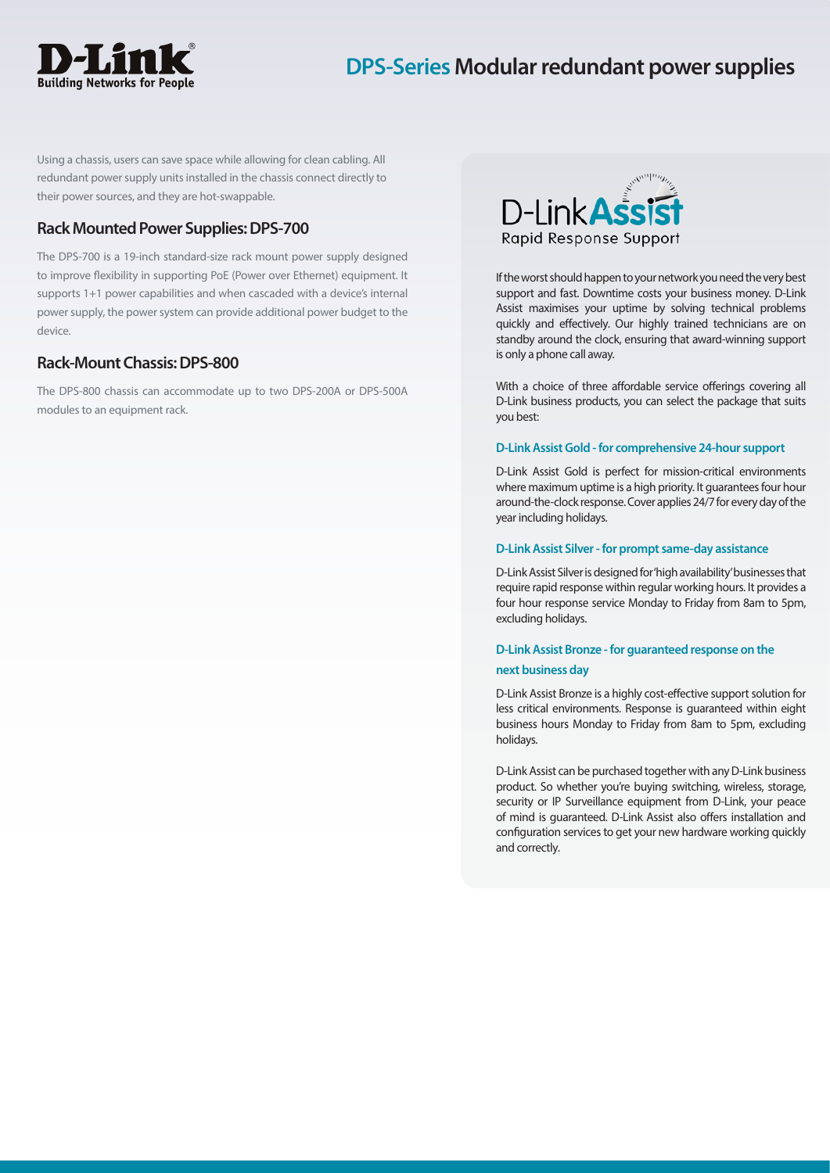

## **DPS-Series Modular redundant power supplies**

Using a chassis, users can save space while allowing for clean cabling. All redundant power supply units installed in the chassis connect directly to their power sources, and they are hot-swappable.

### **Rack Mounted Power Supplies: DPS-700**

The DPS-700 is a 19-inch standard-size rack mount power supply designed to improve flexibility in supporting PoE (Power over Ethernet) equipment. It supports 1+1 power capabilities and when cascaded with a device's internal power supply, the power system can provide additional power budget to the device.

### **Rack-Mount Chassis: DPS-800**

The DPS-800 chassis can accommodate up to two DPS-200A or DPS-500A modules to an equipment rack.



If the worst should happen to your network you need the very best support and fast. Downtime costs your business money. D-Link Assist maximises your uptime by solving technical problems quickly and effectively. Our highly trained technicians are on standby around the clock, ensuring that award-winning support is only a phone call away.

With a choice of three affordable service offerings covering all D-Link business products, you can select the package that suits you best:

### **D-Link Assist Gold - for comprehensive 24-hour support**

D-Link Assist Gold is perfect for mission-critical environments where maximum uptime is a high priority. It guarantees four hour around-the-clock response. Cover applies 24/7 for every day of the year including holidays.

#### **D-Link Assist Silver - for prompt same-day assistance**

D-Link Assist Silver is designed for 'high availability' businesses that require rapid response within regular working hours. It provides a four hour response service Monday to Friday from 8am to 5pm, excluding holidays.

### **D-Link Assist Bronze - for guaranteed response on the**

#### **next business day**

D-Link Assist Bronze is a highly cost-effective support solution for less critical environments. Response is guaranteed within eight business hours Monday to Friday from 8am to 5pm, excluding holidays.

D-Link Assist can be purchased together with any D-Link business product. So whether you're buying switching, wireless, storage, security or IP Surveillance equipment from D-Link, your peace of mind is guaranteed. D-Link Assist also offers installation and configuration services to get your new hardware working quickly and correctly.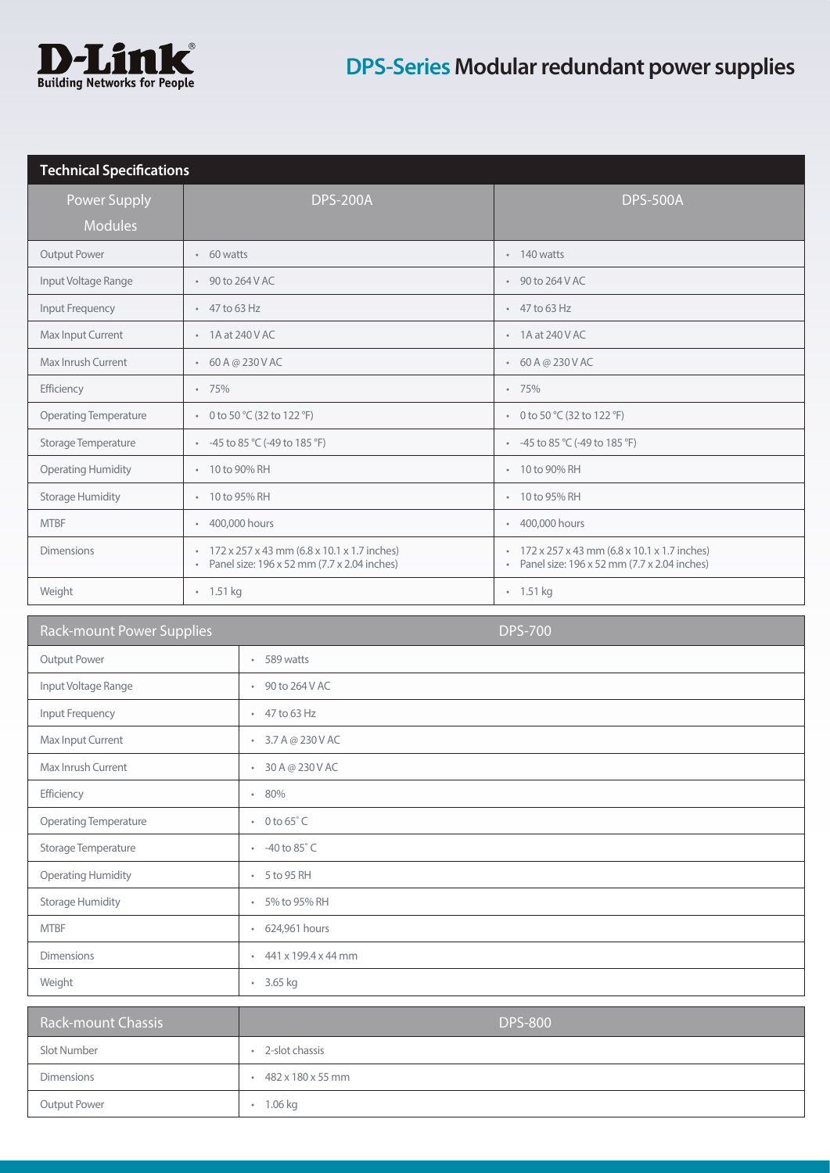

| <b>Technical Specifications</b> |                                                                                                                  |                                                                                                       |  |  |  |
|---------------------------------|------------------------------------------------------------------------------------------------------------------|-------------------------------------------------------------------------------------------------------|--|--|--|
| Power Supply                    | <b>DPS-200A</b>                                                                                                  | <b>DPS-500A</b>                                                                                       |  |  |  |
| <b>Modules</b>                  |                                                                                                                  |                                                                                                       |  |  |  |
| <b>Output Power</b>             | $\cdot$ 60 watts                                                                                                 | $\cdot$ 140 watts                                                                                     |  |  |  |
| Input Voltage Range             | $\cdot$ 90 to 264 V AC                                                                                           | $\cdot$ 90 to 264 V AC                                                                                |  |  |  |
| Input Frequency                 | $\cdot$ 47 to 63 Hz                                                                                              | $\cdot$ 47 to 63 Hz                                                                                   |  |  |  |
| Max Input Current               | $\cdot$ 1A at 240 V AC                                                                                           | $\cdot$ 1A at 240 V AC                                                                                |  |  |  |
| Max Inrush Current              | $-60A@230VAC$                                                                                                    | $-60A@230VAC$                                                                                         |  |  |  |
| Efficiency                      | $-75%$                                                                                                           | $-75%$                                                                                                |  |  |  |
| <b>Operating Temperature</b>    | • 0 to 50 $°C$ (32 to 122 $°F$ )                                                                                 | • 0 to 50 $°C$ (32 to 122 $°F$ )                                                                      |  |  |  |
| Storage Temperature             | • $-45$ to 85 °C (-49 to 185 °F)                                                                                 | • $-45$ to 85 °C (-49 to 185 °F)                                                                      |  |  |  |
| <b>Operating Humidity</b>       | 10 to 90% RH                                                                                                     | 10 to 90% RH                                                                                          |  |  |  |
| <b>Storage Humidity</b>         | 10 to 95% RH<br>$\bullet$                                                                                        | 10 to 95% RH<br>$\bullet$                                                                             |  |  |  |
| <b>MTBF</b>                     | 400,000 hours<br>$\bullet$                                                                                       | * 400,000 hours                                                                                       |  |  |  |
| <b>Dimensions</b>               | 172 x 257 x 43 mm (6.8 x 10.1 x 1.7 inches)<br>$\circ$<br>Panel size: 196 x 52 mm (7.7 x 2.04 inches)<br>$\circ$ | 172 x 257 x 43 mm (6.8 x 10.1 x 1.7 inches)<br>$\circ$<br>Panel size: 196 x 52 mm (7.7 x 2.04 inches) |  |  |  |
| Weight                          | $\cdot$ 1.51 kg                                                                                                  | $\cdot$ 1.51 kg                                                                                       |  |  |  |

| <b>Rack-mount Power Supplies</b> | <b>DPS-700</b>                  |
|----------------------------------|---------------------------------|
| Output Power                     | $-589$ watts                    |
| Input Voltage Range              | $\cdot$ 90 to 264 V AC          |
| Input Frequency                  | $\cdot$ 47 to 63 Hz             |
| Max Input Current                | $-3.7A@230VAC$                  |
| Max Inrush Current               | $-30A@230VAC$                   |
| Efficiency                       | 80%                             |
| Operating Temperature            | $\cdot$ 0 to 65 $^{\circ}$ C    |
| Storage Temperature              | $-40 to 85° C$                  |
| <b>Operating Humidity</b>        | $\cdot$ 5 to 95 RH              |
| <b>Storage Humidity</b>          | • 5% to 95% RH                  |
| <b>MTBF</b>                      | • 624,961 hours                 |
| <b>Dimensions</b>                | $441 \times 199.4 \times 44$ mm |
| Weight                           | • 3.65 kg                       |

| Rack-mount Chassis | <b>DPS-800</b>    |
|--------------------|-------------------|
| Slot Number        | 2-slot chassis    |
| <b>Dimensions</b>  | 482 x 180 x 55 mm |
| Output Power       | 1.06 kg           |